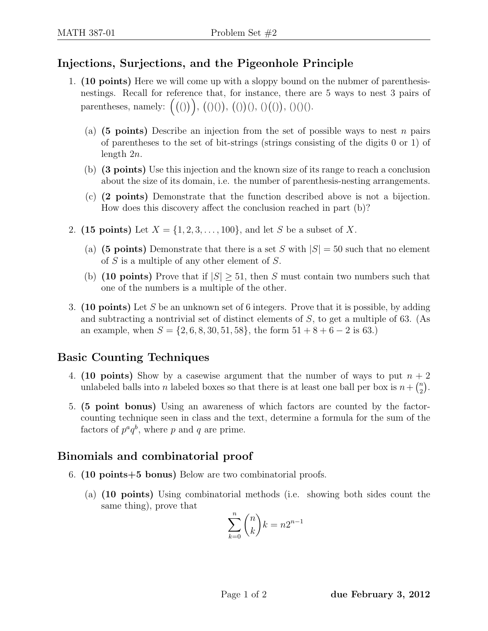## Injections, Surjections, and the Pigeonhole Principle

- 1. (10 points) Here we will come up with a sloppy bound on the nubmer of parenthesisnestings. Recall for reference that, for instance, there are 5 ways to nest 3 pairs of parentheses, namely:  $((0), ((0)), ((0)), ((0)), ((0)), (0)(0)$ .
	- (a) (5 points) Describe an injection from the set of possible ways to nest n pairs of parentheses to the set of bit-strings (strings consisting of the digits 0 or 1) of length 2n.
	- (b) (3 points) Use this injection and the known size of its range to reach a conclusion about the size of its domain, i.e. the number of parenthesis-nesting arrangements.
	- (c) (2 points) Demonstrate that the function described above is not a bijection. How does this discovery affect the conclusion reached in part (b)?
- 2. (15 points) Let  $X = \{1, 2, 3, ..., 100\}$ , and let S be a subset of X.
	- (a) (5 points) Demonstrate that there is a set S with  $|S| = 50$  such that no element of S is a multiple of any other element of  $S$ .
	- (b) (10 points) Prove that if  $|S| \geq 51$ , then S must contain two numbers such that one of the numbers is a multiple of the other.
- 3. (10 points) Let S be an unknown set of 6 integers. Prove that it is possible, by adding and subtracting a nontrivial set of distinct elements of S, to get a multiple of 63. (As an example, when  $S = \{2, 6, 8, 30, 51, 58\}$ , the form  $51 + 8 + 6 - 2$  is 63.)

## Basic Counting Techniques

- 4. (10 points) Show by a casewise argument that the number of ways to put  $n + 2$ unlabeled balls into *n* labeled boxes so that there is at least one ball per box is  $n + \binom{n}{2}$  $\binom{n}{2}$  .
- 5. (5 point bonus) Using an awareness of which factors are counted by the factorcounting technique seen in class and the text, determine a formula for the sum of the factors of  $p^a q^b$ , where p and q are prime.

## Binomials and combinatorial proof

- 6. (10 points+5 bonus) Below are two combinatorial proofs.
	- (a) (10 points) Using combinatorial methods (i.e. showing both sides count the same thing), prove that

$$
\sum_{k=0}^{n} \binom{n}{k} k = n2^{n-1}
$$